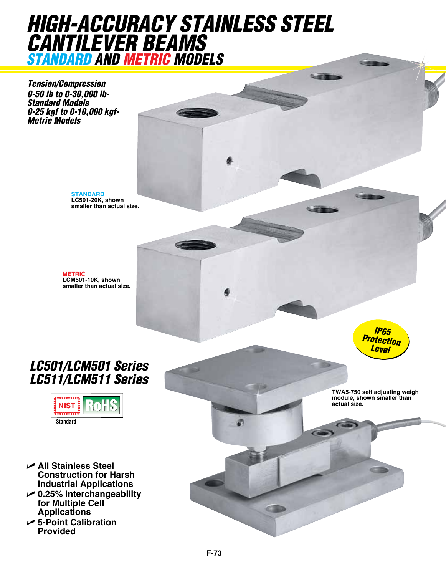# *high-accuracy stainless steel cantilever beams standard and metric models*

*Tension/Compression 0-50 lb to 0-30,000 lb-Standard Models 0-25 kgf to 0-10,000 kgf-Metric Models*

> **STANDARD LC501-20K, shown smaller than actual size.**

**METRIC LCM501-10K, shown smaller than actual size.**

### *LC501/LCM501 Series LC511/LCM511 Series*



- U **All Stainless Steel Construction for Harsh Industrial Applications**
- U **0.25% Interchangeability for Multiple Cell Applications**
- U **5-Point Calibration Provided**

*IP65 Protection Level*

**TWA5-750 self adjusting weigh module, shown smaller than actual size.**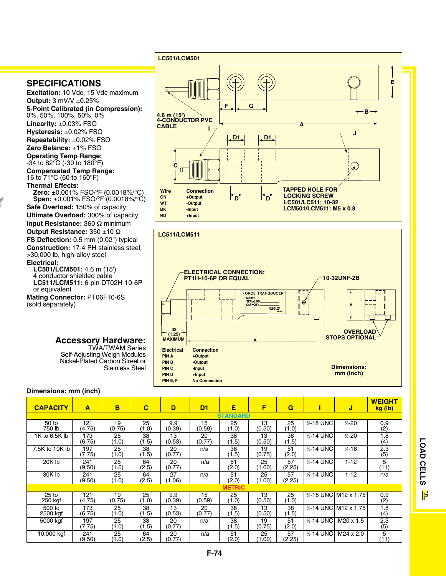

**Excitation:** 10 Vdc, 15 Vdc maximum **Output:** 3 mV/V ±0.25% **5-Point Calibrated (in Compression):** 0%, 50%, 100%, 50%, 0% **Linearity:** ±0.03% FSO **Hysteresis:** ±0.02% FSO **Repeatability:** ±0.02% FSO **Zero Balance:** ±1% FSO **Operating Temp Range:**   $-34$  to 82 $\degree$ C (-30 to 180 $\degree$ F) **Compensated Temp Range:** 16 to 71°C (60 to 160°F) **Thermal Effects: Zero:** ±0.001% FSO/ºF (0.0018%/°C) **Span:** ±0.001% FSO/ºF (0.0018%/°C)

**Safe Overload:** 150% of capacity **Ultimate Overload:** 300% of capacity **Input Resistance:** 360 Ω minimum **Output Resistance:** 350 ±10 Ω

**FS Deflection:** 0.5 mm (0.02") typical **Construction:** 17-4 PH stainless steel, >30,000 lb, high-alloy steel

**Electrical:**

#### **lc501/LCM501:** 4.6 m (15') 4 conductor shielded cable

**lc511/LCM511:** 6-pin DT02H-10-6P or equivalent

**Mating connector:** PT06F10-6S (sold separately)

> **Accessory Hardware:** TWA/TWAM Series Self-Adjusting Weigh Modules Nickel-Plated Carbon Streel or

### **Dimensions: mm (inch)**

| <b>CAPACITY</b>             | A               | B            | $\overline{\mathbf{C}}$ | D             | D <sub>1</sub> | Ε           | F            | G            |                       | J                     | <b>WEIGHT</b><br>kg (lb) |
|-----------------------------|-----------------|--------------|-------------------------|---------------|----------------|-------------|--------------|--------------|-----------------------|-----------------------|--------------------------|
|                             | <b>STANDARD</b> |              |                         |               |                |             |              |              |                       |                       |                          |
| 50 to<br>750 lb             | 121<br>(4.75)   | 19<br>(0.75) | 25<br>(1.0)             | 9.9<br>(0.39) | 15<br>(0.59)   | 25<br>(1.0) | 13<br>(0.50) | 25<br>(1.0)  | <b>%-18 UNC</b>       | $\frac{1}{2}$ -20     | $\frac{0.9}{2}$          |
| 1K to 6.5K lb               | 173<br>(6.75)   | 25<br>(1.0)  | 38<br>(1.5)             | 13<br>(0.53)  | 20<br>(0.77)   | 38<br>(1.5) | 13<br>(0.50) | 38<br>(1.5)  | 1/2-14 UNC            | $\frac{1}{2}$ -20     | $1.\overline{8}$<br>(4)  |
| 7.5K to 10K lb              | 197<br>(7.75)   | 25<br>(1.0)  | 38<br>(1.5)             | 20<br>(0.77)  | n/a            | 38<br>(1.5) | 19<br>(0.75) | 51<br>(2.0)  | $\frac{1}{2}$ -14 UNC | $\frac{3}{4} - 16$    | 2.3<br>(5)               |
| 20K lb                      | 241<br>(9.50)   | 25<br>(1.0)  | 64<br>(2.5)             | 20<br>(0.77)  | n/a            | 51<br>(2.0) | 25<br>(1.00) | 57<br>(2.25) | 1/2-14 UNC            | $1 - 12$              | 5<br>(11)                |
| 30K lb                      | 241<br>(9.50)   | 25<br>(1.0)  | 64<br>(2.5)             | 27<br>(1.06)  | n/a            | 51<br>(2.0) | 25<br>(1.00) | 57<br>(2.25) | 1/2-14 UNC            | $1 - 12$              | n/a                      |
| <b>METRIC</b>               |                 |              |                         |               |                |             |              |              |                       |                       |                          |
| 25 <sub>to</sub><br>250 kgf | 121<br>(4.75)   | 19<br>(0.75) | 25<br>(1.0)             | 9.9<br>(0.39) | 15<br>(0.59)   | 25<br>(1.0) | 13<br>(0.50) | 25<br>(1.0)  |                       | %-18 UNC M12 x 1.75   | 0.9<br>(2)               |
| 500 to<br>2500 kgf          | 173<br>(6.75)   | 25<br>(1.0)  | 38<br>(1.5)             | 13<br>(0.53)  | 20<br>(0.77)   | 38<br>(1.5) | 13<br>(0.50) | 38<br>(1.5)  | $% -14$ UNC           | M12 x 1.75            | 1.8<br>(4)               |
| 5000 kgf                    | 197<br>(7.75)   | 25<br>(1.0)  | 38<br>(1.5)             | 20<br>(0.77)  | n/a            | 38<br>(1.5) | 19<br>(0.75) | 51<br>(2.0)  | 1/2-14 UNC            | M <sub>20</sub> x 1.5 | 2.3<br>(5)               |
| 10,000 kgf                  | 241<br>(9.50)   | 25<br>(1.0)  | 64<br>(2.5)             | 20<br>(0.77)  | n/a            | 51<br>(2.0) | 25<br>(1.00) | 57<br>(2.25) | 1/2-14 UNC            | $M24 \times 2.0$      | 5<br>(11)                |